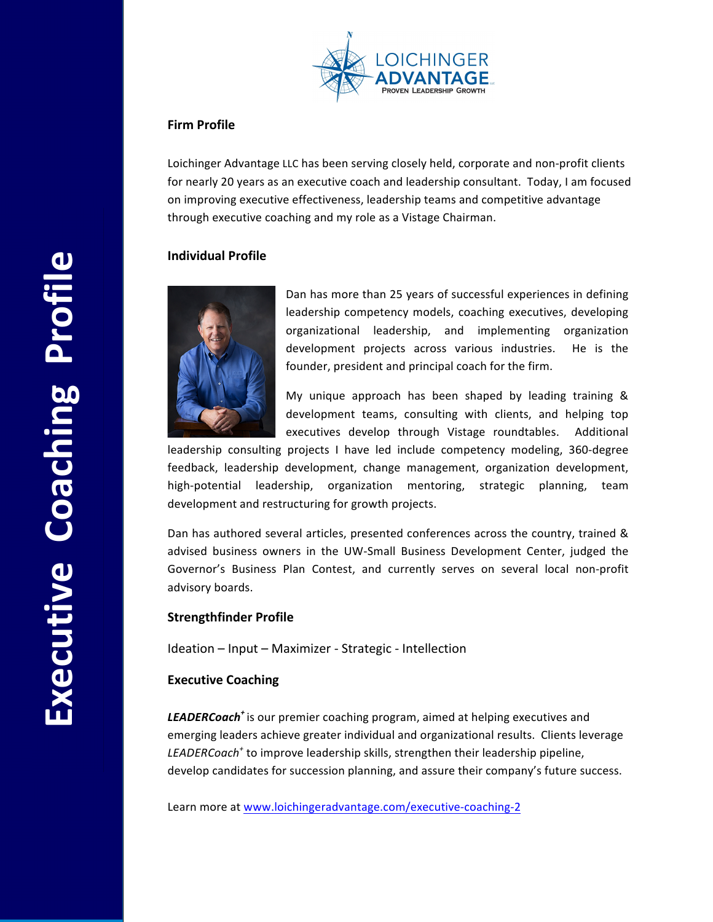

# **Firm Profile**

Loichinger Advantage LLC has been serving closely held, corporate and non-profit clients for nearly 20 years as an executive coach and leadership consultant. Today, I am focused on improving executive effectiveness, leadership teams and competitive advantage through executive coaching and my role as a Vistage Chairman.

# **Individual Profile**



Dan has more than 25 years of successful experiences in defining leadership competency models, coaching executives, developing organizational leadership, and implementing organization development projects across various industries. He is the founder, president and principal coach for the firm.

My unique approach has been shaped by leading training  $&$ development teams, consulting with clients, and helping top executives develop through Vistage roundtables. Additional

leadership consulting projects I have led include competency modeling, 360-degree feedback, leadership development, change management, organization development, high-potential leadership, organization mentoring, strategic planning, team development and restructuring for growth projects.

Dan has authored several articles, presented conferences across the country, trained & advised business owners in the UW-Small Business Development Center, judged the Governor's Business Plan Contest, and currently serves on several local non-profit advisory boards.

### **Strengthfinder Profile**

Ideation – Input – Maximizer - Strategic - Intellection

# **Executive Coaching**

**LEADERCoach<sup>+</sup>** is our premier coaching program, aimed at helping executives and emerging leaders achieve greater individual and organizational results. Clients leverage *LEADERCoach<sup>+</sup>* to improve leadership skills, strengthen their leadership pipeline, develop candidates for succession planning, and assure their company's future success.

Learn more at www.loichingeradvantage.com/executive-coaching-2